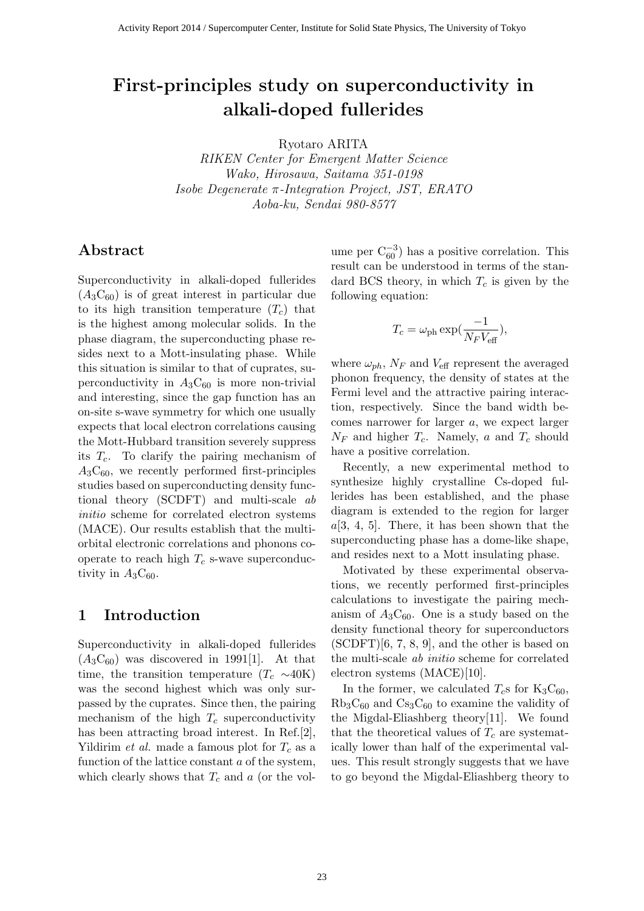# First-principles study on superconductivity in alkali-doped fullerides

Ryotaro ARITA

RIKEN Center for Emergent Matter Science Wako, Hirosawa, Saitama 351-0198 Isobe Degenerate π-Integration Project, JST, ERATO Aoba-ku, Sendai 980-8577

## Abstract

Superconductivity in alkali-doped fullerides  $(A_3C_{60})$  is of great interest in particular due to its high transition temperature  $(T_c)$  that is the highest among molecular solids. In the phase diagram, the superconducting phase resides next to a Mott-insulating phase. While this situation is similar to that of cuprates, superconductivity in  $A_3C_{60}$  is more non-trivial and interesting, since the gap function has an on-site s-wave symmetry for which one usually expects that local electron correlations causing the Mott-Hubbard transition severely suppress its  $T_c$ . To clarify the pairing mechanism of  $A_3C_{60}$ , we recently performed first-principles studies based on superconducting density functional theory (SCDFT) and multi-scale ab initio scheme for correlated electron systems (MACE). Our results establish that the multiorbital electronic correlations and phonons cooperate to reach high  $T_c$  s-wave superconductivity in  $A_3C_{60}$ .

## 1 Introduction

Superconductivity in alkali-doped fullerides  $(A_3C_{60})$  was discovered in 1991[1]. At that time, the transition temperature  $(T_c \sim 40K)$ was the second highest which was only surpassed by the cuprates. Since then, the pairing mechanism of the high  $T_c$  superconductivity has been attracting broad interest. In Ref.[2], Yildirim *et al.* made a famous plot for  $T_c$  as a function of the lattice constant a of the system, which clearly shows that  $T_c$  and a (or the vol-

ume per  $C_{60}^{-3}$ ) has a positive correlation. This result can be understood in terms of the standard BCS theory, in which  $T_c$  is given by the following equation:

$$
T_c = \omega_{\rm ph} \exp(\frac{-1}{N_F V_{\rm eff}}),
$$

where  $\omega_{ph}$ ,  $N_F$  and  $V_{\text{eff}}$  represent the averaged phonon frequency, the density of states at the Fermi level and the attractive pairing interaction, respectively. Since the band width becomes narrower for larger a, we expect larger  $N_F$  and higher  $T_c$ . Namely, a and  $T_c$  should have a positive correlation.

Recently, a new experimental method to synthesize highly crystalline Cs-doped fullerides has been established, and the phase diagram is extended to the region for larger  $a[3, 4, 5]$ . There, it has been shown that the superconducting phase has a dome-like shape, and resides next to a Mott insulating phase.

Motivated by these experimental observations, we recently performed first-principles calculations to investigate the pairing mechanism of  $A_3C_{60}$ . One is a study based on the density functional theory for superconductors (SCDFT)[6, 7, 8, 9], and the other is based on the multi-scale ab initio scheme for correlated electron systems (MACE)[10].

In the former, we calculated  $T_c$ s for  $K_3C_{60}$ ,  $Rb<sub>3</sub>C<sub>60</sub>$  and  $Cs<sub>3</sub>C<sub>60</sub>$  to examine the validity of the Migdal-Eliashberg theory[11]. We found that the theoretical values of  $T_c$  are systematically lower than half of the experimental values. This result strongly suggests that we have to go beyond the Migdal-Eliashberg theory to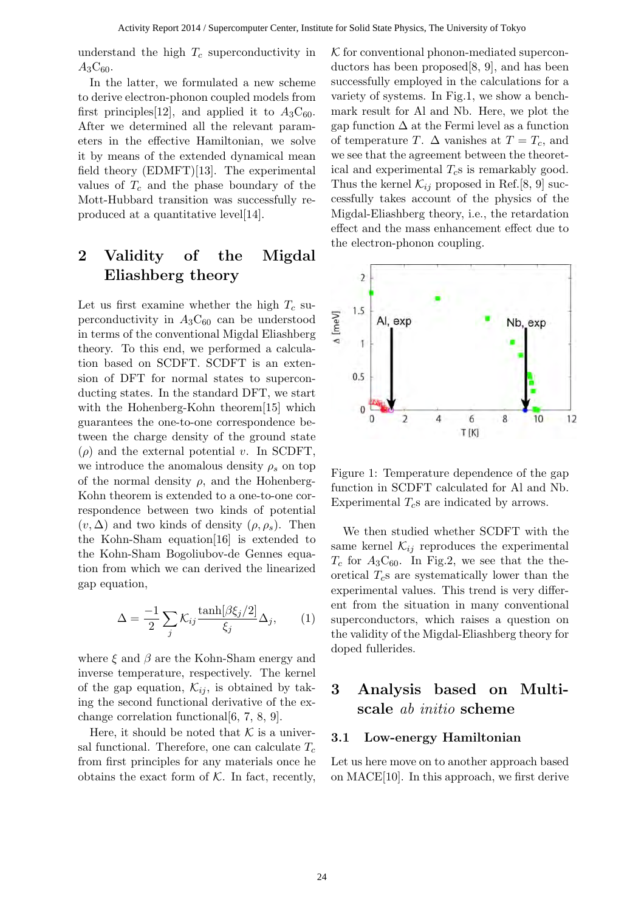understand the high  $T_c$  superconductivity in  $A_3C_{60}.$ 

In the latter, we formulated a new scheme to derive electron-phonon coupled models from first principles [12], and applied it to  $A_3C_{60}$ . After we determined all the relevant parameters in the effective Hamiltonian, we solve it by means of the extended dynamical mean field theory (EDMFT)[13]. The experimental values of  $T_c$  and the phase boundary of the Mott-Hubbard transition was successfully reproduced at a quantitative level[14].

## 2 Validity of the Migdal Eliashberg theory

Let us first examine whether the high  $T_c$  superconductivity in  $A_3C_{60}$  can be understood in terms of the conventional Migdal Eliashberg theory. To this end, we performed a calculation based on SCDFT. SCDFT is an extension of DFT for normal states to superconducting states. In the standard DFT, we start with the Hohenberg-Kohn theorem[15] which guarantees the one-to-one correspondence between the charge density of the ground state  $(\rho)$  and the external potential v. In SCDFT, we introduce the anomalous density  $\rho_s$  on top of the normal density  $\rho$ , and the Hohenberg-Kohn theorem is extended to a one-to-one correspondence between two kinds of potential  $(v, \Delta)$  and two kinds of density  $(\rho, \rho_s)$ . Then the Kohn-Sham equation[16] is extended to the Kohn-Sham Bogoliubov-de Gennes equation from which we can derived the linearized gap equation,

$$
\Delta = \frac{-1}{2} \sum_{j} \mathcal{K}_{ij} \frac{\tanh[\beta \xi_j/2]}{\xi_j} \Delta_j, \qquad (1)
$$

where  $\xi$  and  $\beta$  are the Kohn-Sham energy and inverse temperature, respectively. The kernel of the gap equation,  $\mathcal{K}_{ij}$ , is obtained by taking the second functional derivative of the exchange correlation functional[6, 7, 8, 9].

Here, it should be noted that  $K$  is a universal functional. Therefore, one can calculate  $T_c$ from first principles for any materials once he obtains the exact form of  $K$ . In fact, recently,  $K$  for conventional phonon-mediated superconductors has been proposed[8, 9], and has been successfully employed in the calculations for a variety of systems. In Fig.1, we show a benchmark result for Al and Nb. Here, we plot the gap function  $\Delta$  at the Fermi level as a function of temperature T.  $\Delta$  vanishes at  $T = T_c$ , and we see that the agreement between the theoretical and experimental  $T_c$ s is remarkably good. Thus the kernel  $\mathcal{K}_{ij}$  proposed in Ref.[8, 9] successfully takes account of the physics of the Migdal-Eliashberg theory, i.e., the retardation effect and the mass enhancement effect due to the electron-phonon coupling.



Figure 1: Temperature dependence of the gap function in SCDFT calculated for Al and Nb. Experimental  $T_c$ s are indicated by arrows.

We then studied whether SCDFT with the same kernel  $\mathcal{K}_{ij}$  reproduces the experimental  $T_c$  for  $A_3C_{60}$ . In Fig.2, we see that the theoretical  $T_c$ s are systematically lower than the experimental values. This trend is very different from the situation in many conventional superconductors, which raises a question on the validity of the Migdal-Eliashberg theory for doped fullerides.

## 3 Analysis based on Multiscale ab initio scheme

#### 3.1 Low-energy Hamiltonian

Let us here move on to another approach based on MACE[10]. In this approach, we first derive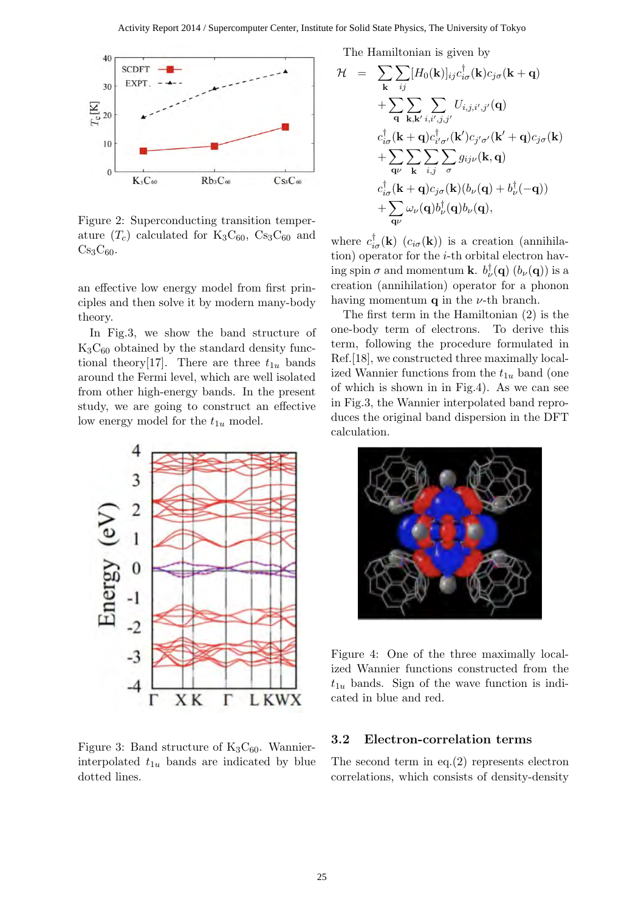

Figure 2: Superconducting transition temperature  $(T_c)$  calculated for  $K_3C_{60}$ ,  $Cs_3C_{60}$  and  $Cs<sub>3</sub>C<sub>60</sub>$ .

an effective low energy model from first principles and then solve it by modern many-body theory.

In Fig.3, we show the band structure of  $K_3C_{60}$  obtained by the standard density functional theory[17]. There are three  $t_{1u}$  bands around the Fermi level, which are well isolated from other high-energy bands. In the present study, we are going to construct an effective low energy model for the  $t_{1u}$  model.



Figure 3: Band structure of  $K_3C_{60}$ . Wannierinterpolated  $t_{1u}$  bands are indicated by blue dotted lines.

The Hamiltonian is given by

$$
\mathcal{H} = \sum_{\mathbf{k}} \sum_{ij} [H_0(\mathbf{k})]_{ij} c_{i\sigma}^\dagger(\mathbf{k}) c_{j\sigma}(\mathbf{k} + \mathbf{q}) \n+ \sum_{\mathbf{q}} \sum_{\mathbf{k},\mathbf{k}',i,i',j,j'} U_{i,j,i',j'}(\mathbf{q}) \nc_{i\sigma}^\dagger(\mathbf{k} + \mathbf{q}) c_{i'\sigma'}^\dagger(\mathbf{k}') c_{j'\sigma'}(\mathbf{k}' + \mathbf{q}) c_{j\sigma}(\mathbf{k}) \n+ \sum_{\mathbf{q}\nu} \sum_{\mathbf{k}} \sum_{i,j} \sum_{\sigma} g_{ij\nu}(\mathbf{k}, \mathbf{q}) \nc_{i\sigma}^\dagger(\mathbf{k} + \mathbf{q}) c_{j\sigma}(\mathbf{k}) (b_\nu(\mathbf{q}) + b_\nu^\dagger(-\mathbf{q})) \n+ \sum_{\mathbf{q}\nu} \omega_\nu(\mathbf{q}) b_\nu^\dagger(\mathbf{q}) b_\nu(\mathbf{q}),
$$

where  $c_{i\sigma}^{\dagger}(\mathbf{k})$   $(c_{i\sigma}(\mathbf{k}))$  is a creation (annihilation) operator for the  $i$ -th orbital electron having spin  $\sigma$  and momentum **k**.  $b_{\nu}^{\dagger}(\mathbf{q})$  ( $b_{\nu}(\mathbf{q})$ ) is a creation (annihilation) operator for a phonon having momentum  $q$  in the  $\nu$ -th branch.

The first term in the Hamiltonian (2) is the one-body term of electrons. To derive this term, following the procedure formulated in Ref.[18], we constructed three maximally localized Wannier functions from the  $t_{1u}$  band (one of which is shown in in Fig.4). As we can see in Fig.3, the Wannier interpolated band reproduces the original band dispersion in the DFT calculation.



Figure 4: One of the three maximally localized Wannier functions constructed from the  $t_{1u}$  bands. Sign of the wave function is indicated in blue and red.

#### 3.2 Electron-correlation terms

The second term in eq.(2) represents electron correlations, which consists of density-density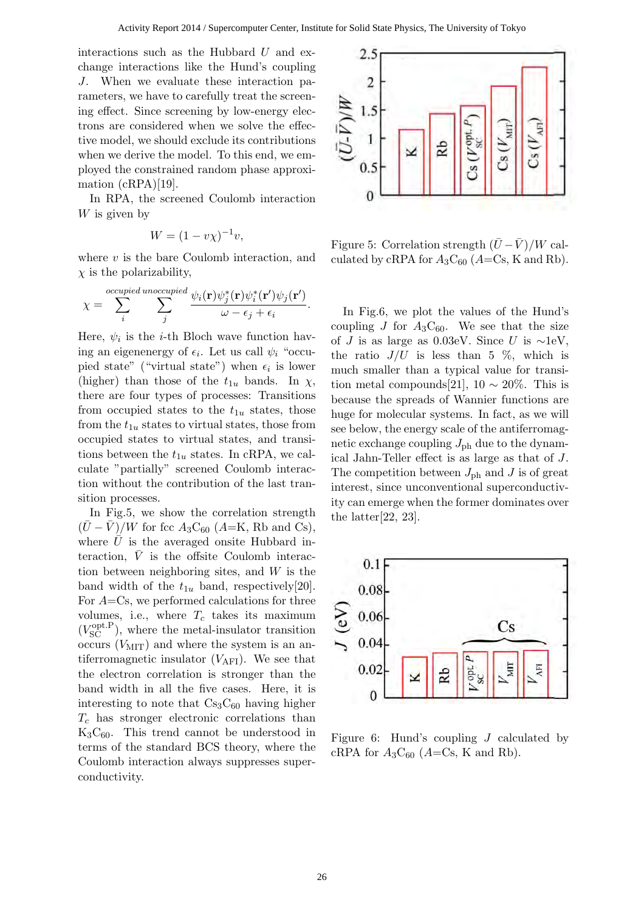interactions such as the Hubbard  $U$  and exchange interactions like the Hund's coupling J. When we evaluate these interaction parameters, we have to carefully treat the screening effect. Since screening by low-energy electrons are considered when we solve the effective model, we should exclude its contributions when we derive the model. To this end, we employed the constrained random phase approximation (cRPA)[19].

In RPA, the screened Coulomb interaction W is given by

$$
W = (1 - v\chi)^{-1}v,
$$

where  $v$  is the bare Coulomb interaction, and  $\chi$  is the polarizability,

$$
\chi = \sum_{i}^{occupied\ unoccupied} \frac{\psi_i(\mathbf{r}) \psi_j^*(\mathbf{r}) \psi_i^*(\mathbf{r}') \psi_j(\mathbf{r}')}{\omega - \epsilon_j + \epsilon_i}.
$$

Here,  $\psi_i$  is the *i*-th Bloch wave function having an eigenenergy of  $\epsilon_i$ . Let us call  $\psi_i$  "occupied state" ("virtual state") when  $\epsilon_i$  is lower (higher) than those of the  $t_{1u}$  bands. In  $\chi$ , there are four types of processes: Transitions from occupied states to the  $t_{1u}$  states, those from the  $t_{1u}$  states to virtual states, those from occupied states to virtual states, and transitions between the  $t_{1u}$  states. In cRPA, we calculate "partially" screened Coulomb interaction without the contribution of the last transition processes.

In Fig.5, we show the correlation strength  $(U - V)/W$  for fcc  $A_3C_{60}$  (A=K, Rb and Cs), where  $\bar{U}$  is the averaged onsite Hubbard interaction,  $\overline{V}$  is the offsite Coulomb interaction between neighboring sites, and  $W$  is the band width of the  $t_{1u}$  band, respectively[20]. For  $A=Cs$ , we performed calculations for three volumes, i.e., where  $T_c$  takes its maximum  $(V_{\text{SC}}^{\text{opt.P}})$ , where the metal-insulator transition occurs  $(V_{\text{MIT}})$  and where the system is an antiferromagnetic insulator  $(V_{\text{AFI}})$ . We see that the electron correlation is stronger than the band width in all the five cases. Here, it is interesting to note that  $Cs<sub>3</sub>C<sub>60</sub>$  having higher  $T_c$  has stronger electronic correlations than  $K_3C_{60}$ . This trend cannot be understood in terms of the standard BCS theory, where the Coulomb interaction always suppresses superconductivity.



Figure 5: Correlation strength  $(\bar{U} - \bar{V})/W$  calculated by cRPA for  $A_3C_{60}$  (A=Cs, K and Rb).

In Fig.6, we plot the values of the Hund's coupling J for  $A_3C_{60}$ . We see that the size of J is as large as 0.03eV. Since U is  $\sim$ 1eV, the ratio  $J/U$  is less than 5 %, which is much smaller than a typical value for transition metal compounds[21],  $10 \sim 20\%$ . This is because the spreads of Wannier functions are huge for molecular systems. In fact, as we will see below, the energy scale of the antiferromagnetic exchange coupling  $J_{\rm ph}$  due to the dynamical Jahn-Teller effect is as large as that of J. The competition between  $J_{\text{ph}}$  and J is of great interest, since unconventional superconductivity can emerge when the former dominates over the latter[22, 23].



Figure 6: Hund's coupling J calculated by cRPA for  $A_3C_{60}$  ( $A=Cs$ , K and Rb).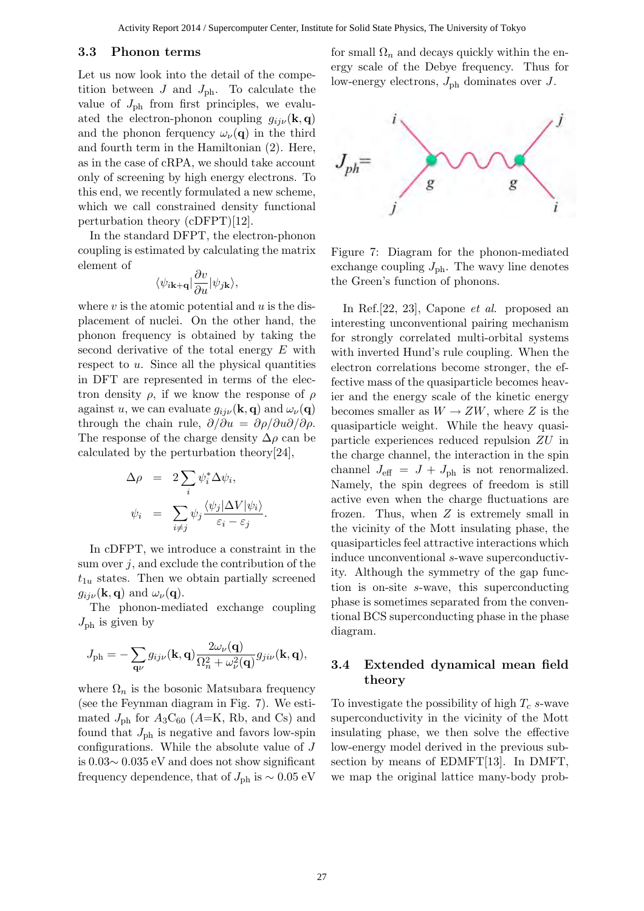#### 3.3 Phonon terms

Let us now look into the detail of the competition between  $J$  and  $J_{\text{ph}}$ . To calculate the value of  $J_{\text{ph}}$  from first principles, we evaluated the electron-phonon coupling  $g_{ii\nu}(\mathbf{k}, \mathbf{q})$ and the phonon ferquency  $\omega_{\nu}(\mathbf{q})$  in the third and fourth term in the Hamiltonian (2). Here, as in the case of cRPA, we should take account only of screening by high energy electrons. To this end, we recently formulated a new scheme, which we call constrained density functional perturbation theory (cDFPT)[12].

In the standard DFPT, the electron-phonon coupling is estimated by calculating the matrix element of

$$
\langle \psi_{i{\bf k}+{\bf q}}|\frac{\partial v}{\partial u}|\psi_{j{\bf k}}\rangle,
$$

where  $v$  is the atomic potential and  $u$  is the displacement of nuclei. On the other hand, the phonon frequency is obtained by taking the second derivative of the total energy  $E$  with respect to  $u$ . Since all the physical quantities in DFT are represented in terms of the electron density  $\rho$ , if we know the response of  $\rho$ against u, we can evaluate  $g_{ii\nu}(\mathbf{k}, \mathbf{q})$  and  $\omega_{\nu}(\mathbf{q})$ through the chain rule,  $\partial/\partial u = \partial \rho/\partial u \partial/\partial \rho$ . The response of the charge density  $\Delta \rho$  can be calculated by the perturbation theory[24],

$$
\Delta \rho = 2 \sum_{i} \psi_{i}^{*} \Delta \psi_{i},
$$
  

$$
\psi_{i} = \sum_{i \neq j} \psi_{j} \frac{\langle \psi_{j} | \Delta V | \psi_{i} \rangle}{\varepsilon_{i} - \varepsilon_{j}}.
$$

In cDFPT, we introduce a constraint in the sum over  $j$ , and exclude the contribution of the  $t_{1u}$  states. Then we obtain partially screened  $g_{ij\nu}(\mathbf{k}, \mathbf{q})$  and  $\omega_{\nu}(\mathbf{q})$ .

The phonon-mediated exchange coupling  $J_{\rm ph}$  is given by

$$
J_{\rm ph} = -\sum_{\mathbf{q}\nu} g_{ij\nu}(\mathbf{k}, \mathbf{q}) \frac{2\omega_{\nu}(\mathbf{q})}{\Omega_n^2 + \omega_{\nu}^2(\mathbf{q})} g_{ji\nu}(\mathbf{k}, \mathbf{q}),
$$

where  $\Omega_n$  is the bosonic Matsubara frequency (see the Feynman diagram in Fig. 7). We estimated  $J_{\rm ph}$  for  $A_3C_{60}$  (A=K, Rb, and Cs) and found that  $J_{\rm ph}$  is negative and favors low-spin configurations. While the absolute value of J is 0.03∼ 0.035 eV and does not show significant frequency dependence, that of  $J_{\text{ph}}$  is  $\sim 0.05$  eV for small  $\Omega_n$  and decays quickly within the energy scale of the Debye frequency. Thus for low-energy electrons,  $J_{\rm ph}$  dominates over  $J$ .



Figure 7: Diagram for the phonon-mediated exchange coupling  $J_{\rm ph}$ . The wavy line denotes the Green's function of phonons.

In Ref.[22, 23], Capone et al. proposed an interesting unconventional pairing mechanism for strongly correlated multi-orbital systems with inverted Hund's rule coupling. When the electron correlations become stronger, the effective mass of the quasiparticle becomes heavier and the energy scale of the kinetic energy becomes smaller as  $W \to ZW$ , where Z is the quasiparticle weight. While the heavy quasiparticle experiences reduced repulsion ZU in the charge channel, the interaction in the spin channel  $J_{\text{eff}} = J + J_{\text{ph}}$  is not renormalized. Namely, the spin degrees of freedom is still active even when the charge fluctuations are frozen. Thus, when  $Z$  is extremely small in the vicinity of the Mott insulating phase, the quasiparticles feel attractive interactions which induce unconventional s-wave superconductivity. Although the symmetry of the gap function is on-site s-wave, this superconducting phase is sometimes separated from the conventional BCS superconducting phase in the phase diagram.

#### 3.4 Extended dynamical mean field theory

To investigate the possibility of high  $T_c$  s-wave superconductivity in the vicinity of the Mott insulating phase, we then solve the effective low-energy model derived in the previous subsection by means of EDMFT[13]. In DMFT, we map the original lattice many-body prob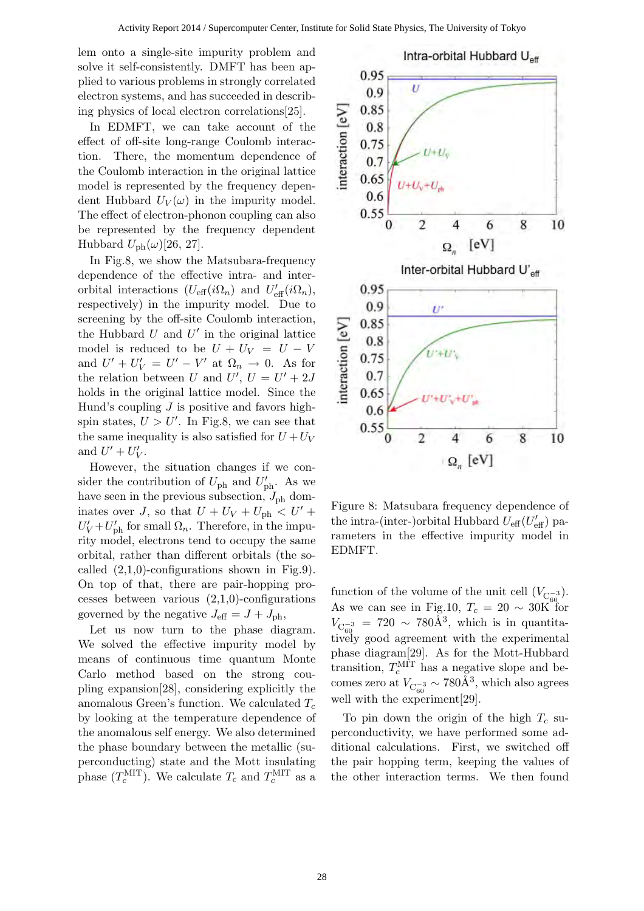lem onto a single-site impurity problem and solve it self-consistently. DMFT has been applied to various problems in strongly correlated electron systems, and has succeeded in describing physics of local electron correlations[25].

In EDMFT, we can take account of the effect of off-site long-range Coulomb interaction. There, the momentum dependence of the Coulomb interaction in the original lattice model is represented by the frequency dependent Hubbard  $U_V(\omega)$  in the impurity model. The effect of electron-phonon coupling can also be represented by the frequency dependent Hubbard  $U_{\text{ph}}(\omega)$ [26, 27].

In Fig.8, we show the Matsubara-frequency dependence of the effective intra- and interorbital interactions  $(U_{\text{eff}}(i\Omega_n))$  and  $U'_{\text{eff}}(i\Omega_n)$ , respectively) in the impurity model. Due to screening by the off-site Coulomb interaction, the Hubbard  $U$  and  $U'$  in the original lattice model is reduced to be  $U + U_V = U - V$ and  $U' + U'_{V} = U' - V'$  at  $\Omega_{n} \to 0$ . As for the relation between U and  $U'$ ,  $U = U' + 2J$ holds in the original lattice model. Since the Hund's coupling  $J$  is positive and favors highspin states,  $U > U'$ . In Fig.8, we can see that the same inequality is also satisfied for  $U + U_V$ and  $U' + U'_{V}$ .

However, the situation changes if we consider the contribution of  $U_{\text{ph}}$  and  $U_{\text{ph}}'$ . As we have seen in the previous subsection,  $J_{\rm ph}$  dominates over J, so that  $U + U_V + U_{\text{ph}} < U' +$  $U'_V + U'_{\text{ph}}$  for small  $\Omega_n$ . Therefore, in the impurity model, electrons tend to occupy the same orbital, rather than different orbitals (the socalled  $(2,1,0)$ -configurations shown in Fig.9). On top of that, there are pair-hopping processes between various  $(2,1,0)$ -configurations governed by the negative  $J_{\text{eff}} = J + J_{\text{ph}}$ ,

Let us now turn to the phase diagram. We solved the effective impurity model by means of continuous time quantum Monte Carlo method based on the strong coupling expansion[28], considering explicitly the anomalous Green's function. We calculated  $T_c$ by looking at the temperature dependence of the anomalous self energy. We also determined the phase boundary between the metallic (superconducting) state and the Mott insulating phase  $(T_c^{\text{MIT}})$ . We calculate  $T_c$  and  $T_c^{\text{MIT}}$  as a



Figure 8: Matsubara frequency dependence of the intra-(inter-)orbital Hubbard  $U_{\text{eff}}(U'_{\text{eff}})$  parameters in the effective impurity model in EDMFT.

function of the volume of the unit cell  $(V_{\mathcal{C}_{60}^{-3}})$ . As we can see in Fig.10,  $T_c = 20 \sim 30K$  for  $V_{\rm{C}_{60}^{-3}} = 720 \sim 780 \AA^3$ , which is in quantitatively good agreement with the experimental phase diagram[29]. As for the Mott-Hubbard transition,  $T_c^{\text{MIT}}$  has a negative slope and becomes zero at  $V_{\rm C_{60}^{-3}} \sim 780 \text{\AA}^3$ , which also agrees well with the experiment[29].

To pin down the origin of the high  $T_c$  superconductivity, we have performed some additional calculations. First, we switched off the pair hopping term, keeping the values of the other interaction terms. We then found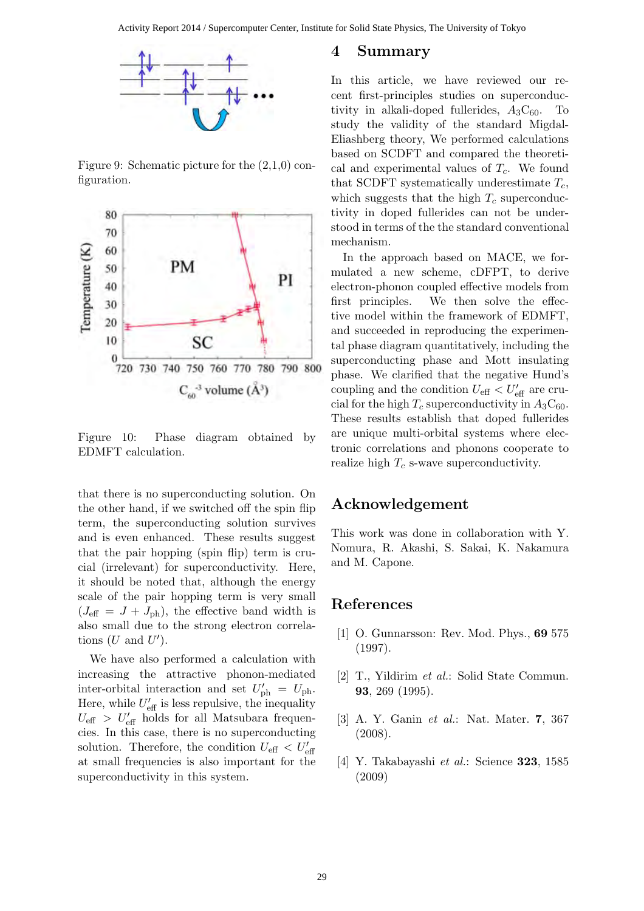

Figure 9: Schematic picture for the (2,1,0) configuration.



Figure 10: Phase diagram obtained by EDMFT calculation.

that there is no superconducting solution. On the other hand, if we switched off the spin flip term, the superconducting solution survives and is even enhanced. These results suggest that the pair hopping (spin flip) term is crucial (irrelevant) for superconductivity. Here, it should be noted that, although the energy scale of the pair hopping term is very small  $(J_{\text{eff}} = J + J_{\text{ph}})$ , the effective band width is also small due to the strong electron correlations  $(U \text{ and } U')$ .

We have also performed a calculation with increasing the attractive phonon-mediated inter-orbital interaction and set  $U'_{\text{ph}} = U_{\text{ph}}$ . Here, while  $U'_{\text{eff}}$  is less repulsive, the inequality  $U_{\text{eff}} > U'_{\text{eff}}$  holds for all Matsubara frequencies. In this case, there is no superconducting solution. Therefore, the condition  $U_{\text{eff}} < U'_{\text{eff}}$ at small frequencies is also important for the superconductivity in this system.

### 4 Summary

In this article, we have reviewed our recent first-principles studies on superconductivity in alkali-doped fullerides,  $A_3C_{60}$ . To study the validity of the standard Migdal-Eliashberg theory, We performed calculations based on SCDFT and compared the theoretical and experimental values of  $T_c$ . We found that SCDFT systematically underestimate  $T_c$ , which suggests that the high  $T_c$  superconductivity in doped fullerides can not be understood in terms of the the standard conventional mechanism.

In the approach based on MACE, we formulated a new scheme, cDFPT, to derive electron-phonon coupled effective models from first principles. We then solve the effective model within the framework of EDMFT, and succeeded in reproducing the experimental phase diagram quantitatively, including the superconducting phase and Mott insulating phase. We clarified that the negative Hund's coupling and the condition  $U_{\text{eff}} < U'_{\text{eff}}$  are crucial for the high  $T_c$  superconductivity in  $A_3C_{60}$ . These results establish that doped fullerides are unique multi-orbital systems where electronic correlations and phonons cooperate to realize high  $T_c$  s-wave superconductivity.

## Acknowledgement

This work was done in collaboration with Y. Nomura, R. Akashi, S. Sakai, K. Nakamura and M. Capone.

### References

- [1] O. Gunnarsson: Rev. Mod. Phys., 69 575 (1997).
- [2] T., Yildirim et al.: Solid State Commun. 93, 269 (1995).
- [3] A. Y. Ganin et al.: Nat. Mater. 7, 367 (2008).
- [4] Y. Takabayashi et al.: Science 323, 1585 (2009)